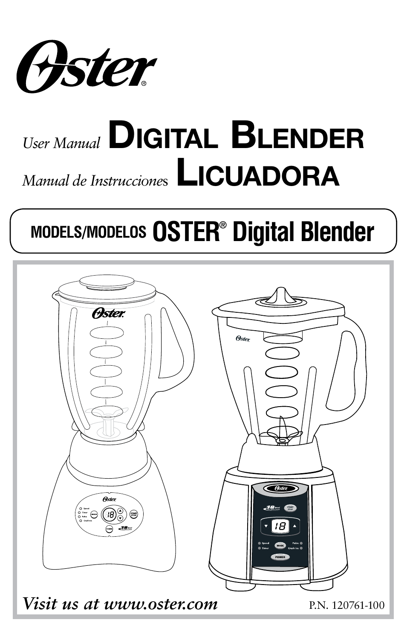

# *User Manual* **Digital Blender** *Manual de Instrucciones* LICUADORA

# **MODELS/MODELOS OSTER® Digital Blender**

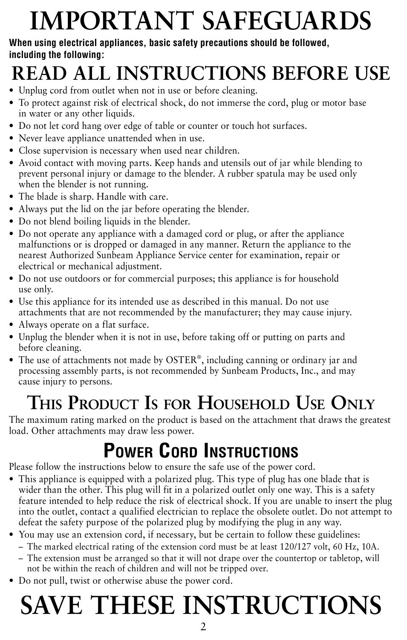# **IMPORTANT SAFEGUARDS**

#### **When using electrical appliances, basic safety precautions should be followed, including the following:**

# **Read all instructions before use**

- Unplug cord from outlet when not in use or before cleaning.
- To protect against risk of electrical shock, do not immerse the cord, plug or motor base in water or any other liquids.
- Do not let cord hang over edge of table or counter or touch hot surfaces.
- Never leave appliance unattended when in use.
- Close supervision is necessary when used near children.
- Avoid contact with moving parts. Keep hands and utensils out of jar while blending to prevent personal injury or damage to the blender. A rubber spatula may be used only when the blender is not running.
- The blade is sharp. Handle with care.
- Always put the lid on the jar before operating the blender.
- Do not blend boiling liquids in the blender.
- Do not operate any appliance with a damaged cord or plug, or after the appliance malfunctions or is dropped or damaged in any manner. Return the appliance to the nearest Authorized Sunbeam Appliance Service center for examination, repair or electrical or mechanical adjustment.
- Do not use outdoors or for commercial purposes; this appliance is for household use only.
- Use this appliance for its intended use as described in this manual. Do not use attachments that are not recommended by the manufacturer; they may cause injury.
- Always operate on a flat surface.
- Unplug the blender when it is not in use, before taking off or putting on parts and before cleaning.
- The use of attachments not made by OSTER®, including canning or ordinary jar and processing assembly parts, is not recommended by Sunbeam Products, Inc., and may cause injury to persons.

# **This Product Is for Household Use Only**

The maximum rating marked on the product is based on the attachment that draws the greatest load. Other attachments may draw less power.

# **Power Cord Instructions**

Please follow the instructions below to ensure the safe use of the power cord.

- This appliance is equipped with a polarized plug. This type of plug has one blade that is wider than the other. This plug will fit in a polarized outlet only one way. This is a safety feature intended to help reduce the risk of electrical shock. If you are unable to insert the plug into the outlet, contact a qualified electrician to replace the obsolete outlet. Do not attempt to defeat the safety purpose of the polarized plug by modifying the plug in any way.
- You may use an extension cord, if necessary, but be certain to follow these guidelines:
	- $-$  The marked electrical rating of the extension cord must be at least 120/127 volt, 60 Hz, 10A.
	- The extension must be arranged so that it will not drape over the countertop or tabletop, will not be within the reach of children and will not be tripped over.
- Do not pull, twist or otherwise abuse the power cord.

# **SAVE THESE INSTRUCTIONS**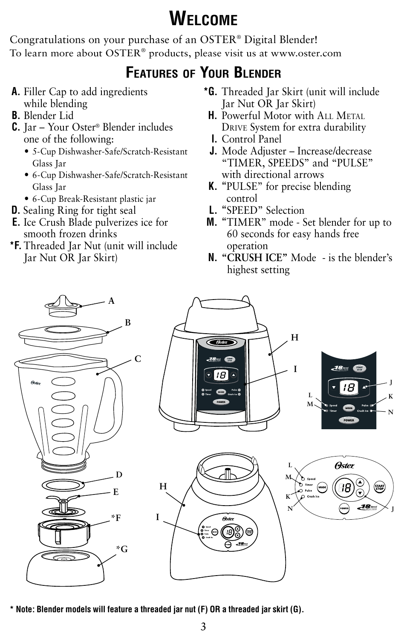### **Welcome**

Congratulations on your purchase of an OSTER® Digital Blender! To learn more about OSTER® products, please visit us at www.oster.com

### **Features of Your Blender**

- **A.** Filler Cap to add ingredients while blending
- **B.** Blender Lid
- **C.** Jar Your Oster® Blender includes one of the following:
	- **•**  5-Cup Dishwasher-Safe/Scratch-Resistant Glass Jar
	- **•**  6-Cup Dishwasher-Safe/Scratch-Resistant Glass Jar
	- **•**  6-Cup Break-Resistant plastic jar
- **D.** Sealing Ring for tight seal
- **E.** Ice Crush Blade pulverizes ice for smooth frozen drinks
- **\*F.** Threaded Jar Nut (unit will include Jar Nut OR Jar Skirt)
- **\*G.** Threaded Jar Skirt (unit will include Jar Nut OR Jar Skirt)
- **H.** Powerful Motor with ALL METAL Drive System for extra durability
- **I.** Control Panel
- **J.** Mode Adjuster Increase/decrease "TIMER, SPEEDS" and "PULSE" with directional arrows
- **K. "**PULSE" for precise blending control
- **L. "**SPEED" Selection
- **M. "**TIMER" mode Set blender for up to 60 seconds for easy hands free operation
- **N. "CRUSH ICE"** Mode is the blender's highest setting









**J**

**N**

**\* Note: Blender models will feature a threaded jar nut (F) OR a threaded jar skirt (G).**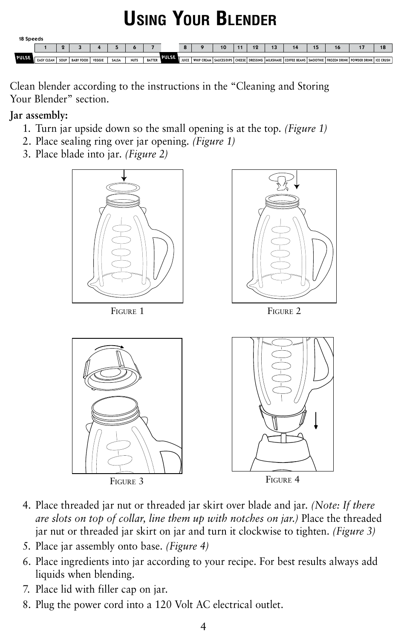### **Using Your Blender**



Clean blender according to the instructions in the "Cleaning and Storing Your Blender" section.

#### **Jar assembly:**

- 1. Turn jar upside down so the small opening is at the top. *(Figure 1)*
- 2. Place sealing ring over jar opening. *(Figure 1)*
- 3. Place blade into jar. *(Figure 2)*



- 4. Place threaded jar nut or threaded jar skirt over blade and jar. *(Note: If there are slots on top of collar, line them up with notches on jar.)* Place the threaded jar nut or threaded jar skirt on jar and turn it clockwise to tighten. *(Figure 3)*
- 5. Place jar assembly onto base. *(Figure 4)*
- 6. Place ingredients into jar according to your recipe. For best results always add liquids when blending.
- 7. Place lid with filler cap on jar.
- 8. Plug the power cord into a 120 Volt AC electrical outlet.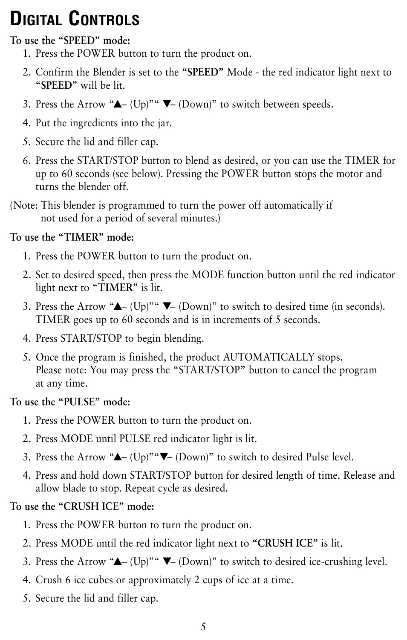## **Digital Controls**

#### **To use the "SPEED" mode:**

- 1. Press the POWER button to turn the product on.
- 2. Confirm the Blender is set to the **"SPEED"** Mode the red indicator light next to **"SPEED"** will be lit.
- 3. Press the Arrow " $\blacktriangle$  (Up)"  $\nabla$  (Down)" to switch between speeds.
- 4. Put the ingredients into the jar.
- 5. Secure the lid and filler cap.
- 6. Press the START/STOP button to blend as desired, or you can use the TIMER for up to 60 seconds (see below). Pressing the POWER button stops the motor and turns the blender off.
- (Note: This blender is programmed to turn the power off automatically if not used for a period of several minutes.)

#### **To use the "TIMER" mode:**

- 1. Press the POWER button to turn the product on.
- 2. Set to desired speed, then press the MODE function button until the red indicator light next to **"TIMER"** is lit.
- 3. Press the Arrow " $\blacktriangle$  (Up)"  $\nabla$  (Down)" to switch to desired time (in seconds). TIMER goes up to 60 seconds and is in increments of 5 seconds.
- 4. Press START/STOP to begin blending.
- 5. Once the program is finished, the product AUTOMATICALLY stops. Please note: You may press the "START/STOP" button to cancel the program at any time.

#### **To use the "PULSE" mode:**

- 1. Press the POWER button to turn the product on.
- 2. Press MODE until PULSE red indicator light is lit.
- 3. Press the Arrow "▲– (Up)" "▼– (Down)" to switch to desired Pulse level.
- 4. Press and hold down START/STOP button for desired length of time. Release and allow blade to stop. Repeat cycle as desired.

#### **To use the "CRUSH ICE" mode:**

- 1. Press the POWER button to turn the product on.
- 2. Press MODE until the red indicator light next to **"CRUSH ICE"** is lit.
- 3. Press the Arrow " $\blacktriangle$  (Up)"  $\nabla$  (Down)" to switch to desired ice-crushing level.
- 4. Crush 6 ice cubes or approximately 2 cups of ice at a time.
- 5. Secure the lid and filler cap.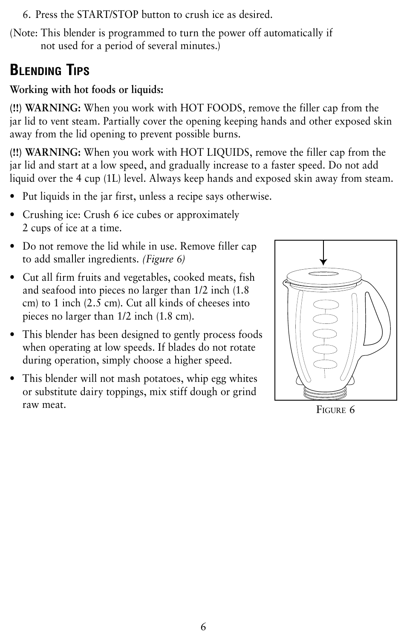- 6. Press the START/STOP button to crush ice as desired.
- (Note: This blender is programmed to turn the power off automatically if not used for a period of several minutes.)

#### **Blending Tips**

#### **Working with hot foods or liquids:**

**(!!) WARNING:** When you work with HOT FOODS, remove the filler cap from the jar lid to vent steam. Partially cover the opening keeping hands and other exposed skin away from the lid opening to prevent possible burns.

**(!!) WARNING:** When you work with HOT LIQUIDS, remove the filler cap from the jar lid and start at a low speed, and gradually increase to a faster speed. Do not add liquid over the 4 cup (1L) level. Always keep hands and exposed skin away from steam.

- Put liquids in the jar first, unless a recipe says otherwise.
- Crushing ice: Crush 6 ice cubes or approximately 2 cups of ice at a time.
- Do not remove the lid while in use. Remove filler cap to add smaller ingredients. *(Figure 6)*
- Cut all firm fruits and vegetables, cooked meats, fish and seafood into pieces no larger than 1/2 inch (1.8 cm) to 1 inch (2.5 cm). Cut all kinds of cheeses into pieces no larger than 1/2 inch (1.8 cm).
- This blender has been designed to gently process foods when operating at low speeds. If blades do not rotate during operation, simply choose a higher speed.
- This blender will not mash potatoes, whip egg whites or substitute dairy toppings, mix stiff dough or grind raw meat. Figure 6

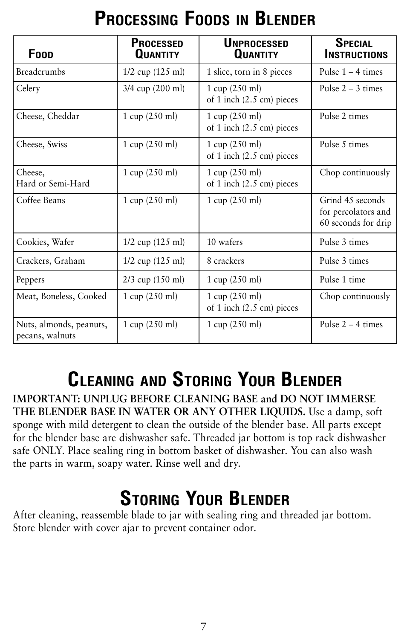## **Processing Foods in Blender**

| Foop                                       | <b>PROCESSED</b><br><b>QUANTITY</b> | <b>UNPROCESSED</b><br><b>QUANTITY</b>                                    | <b>SPECIAL</b><br><b>INSTRUCTIONS</b>                          |
|--------------------------------------------|-------------------------------------|--------------------------------------------------------------------------|----------------------------------------------------------------|
| <b>Breadcrumbs</b>                         | $1/2$ cup $(125 \text{ ml})$        | 1 slice, torn in 8 pieces                                                | Pulse $1 - 4$ times                                            |
| Celery                                     | 3/4 cup (200 ml)                    | $1 \text{ cup } (250 \text{ ml})$<br>of 1 inch $(2.5 \text{ cm})$ pieces | Pulse $2 - 3$ times                                            |
| Cheese, Cheddar                            | 1 cup (250 ml)                      | $1 \text{ cup } (250 \text{ ml})$<br>of 1 inch $(2.5 \text{ cm})$ pieces | Pulse 2 times                                                  |
| Cheese, Swiss                              | $1 \text{ cup } (250 \text{ ml})$   | $1 \text{ cup } (250 \text{ ml})$<br>of 1 inch $(2.5 \text{ cm})$ pieces | Pulse 5 times                                                  |
| Cheese,<br>Hard or Semi-Hard               | $1 \text{ cup } (250 \text{ ml})$   | $1 \text{ cup } (250 \text{ ml})$<br>of 1 inch $(2.5 \text{ cm})$ pieces | Chop continuously                                              |
| Coffee Beans                               | $1 \text{ cup } (250 \text{ ml})$   | $1 \text{ cup } (250 \text{ ml})$                                        | Grind 45 seconds<br>for percolators and<br>60 seconds for drip |
| Cookies, Wafer                             | $1/2$ cup $(125 \text{ ml})$        | 10 wafers                                                                | Pulse 3 times                                                  |
| Crackers, Graham                           | $1/2$ cup $(125 \text{ ml})$        | 8 crackers                                                               | Pulse 3 times                                                  |
| Peppers                                    | $2/3$ cup $(150 \text{ ml})$        | $1 \text{ cup } (250 \text{ ml})$                                        | Pulse 1 time                                                   |
| Meat, Boneless, Cooked                     | $1 \text{ cup } (250 \text{ ml})$   | $1 \text{ cup } (250 \text{ ml})$<br>of 1 inch $(2.5 \text{ cm})$ pieces | Chop continuously                                              |
| Nuts, almonds, peanuts,<br>pecans, walnuts | $1 \text{ cup } (250 \text{ ml})$   | 1 cup $(250 \text{ ml})$                                                 | Pulse $2 - 4$ times                                            |

## **Cleaning and Storing Your Blender**

**IMPORTANT: UNPLUG BEFORE CLEANING BASE and DO NOT IMMERSE THE BLENDER BASE IN WATER OR ANY OTHER LIQUIDS.** Use a damp, soft sponge with mild detergent to clean the outside of the blender base. All parts except for the blender base are dishwasher safe. Threaded jar bottom is top rack dishwasher safe ONLY. Place sealing ring in bottom basket of dishwasher. You can also wash the parts in warm, soapy water. Rinse well and dry.

### **Storing Your Blender**

After cleaning, reassemble blade to jar with sealing ring and threaded jar bottom. Store blender with cover ajar to prevent container odor.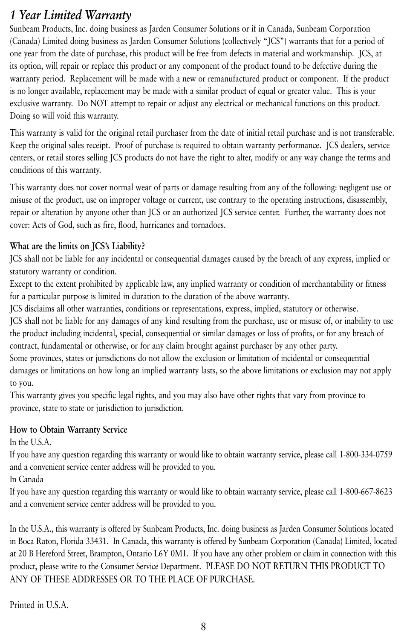#### *1 Year Limited Warranty*

Sunbeam Products, Inc. doing business as Jarden Consumer Solutions or if in Canada, Sunbeam Corporation (Canada) Limited doing business as Jarden Consumer Solutions (collectively "JCS") warrants that for a period of one year from the date of purchase, this product will be free from defects in material and workmanship. JCS, at its option, will repair or replace this product or any component of the product found to be defective during the warranty period. Replacement will be made with a new or remanufactured product or component. If the product is no longer available, replacement may be made with a similar product of equal or greater value. This is your exclusive warranty. Do NOT attempt to repair or adjust any electrical or mechanical functions on this product. Doing so will void this warranty.

This warranty is valid for the original retail purchaser from the date of initial retail purchase and is not transferable. Keep the original sales receipt. Proof of purchase is required to obtain warranty performance. JCS dealers, service centers, or retail stores selling JCS products do not have the right to alter, modify or any way change the terms and conditions of this warranty.

This warranty does not cover normal wear of parts or damage resulting from any of the following: negligent use or misuse of the product, use on improper voltage or current, use contrary to the operating instructions, disassembly, repair or alteration by anyone other than JCS or an authorized JCS service center. Further, the warranty does not cover: Acts of God, such as fire, flood, hurricanes and tornadoes.

#### **What are the limits on JCS's Liability?**

JCS shall not be liable for any incidental or consequential damages caused by the breach of any express, implied or statutory warranty or condition.

Except to the extent prohibited by applicable law, any implied warranty or condition of merchantability or fitness for a particular purpose is limited in duration to the duration of the above warranty.

JCS disclaims all other warranties, conditions or representations, express, implied, statutory or otherwise.

JCS shall not be liable for any damages of any kind resulting from the purchase, use or misuse of, or inability to use the product including incidental, special, consequential or similar damages or loss of profits, or for any breach of contract, fundamental or otherwise, or for any claim brought against purchaser by any other party.

Some provinces, states or jurisdictions do not allow the exclusion or limitation of incidental or consequential damages or limitations on how long an implied warranty lasts, so the above limitations or exclusion may not apply to you.

This warranty gives you specific legal rights, and you may also have other rights that vary from province to province, state to state or jurisdiction to jurisdiction.

#### **How to Obtain Warranty Service**

In the U.S.A.

If you have any question regarding this warranty or would like to obtain warranty service, please call 1-800-334-0759 and a convenient service center address will be provided to you.

In Canada

If you have any question regarding this warranty or would like to obtain warranty service, please call 1-800-667-8623 and a convenient service center address will be provided to you.

In the U.S.A., this warranty is offered by Sunbeam Products, Inc. doing business as Jarden Consumer Solutions located in Boca Raton, Florida 33431. In Canada, this warranty is offered by Sunbeam Corporation (Canada) Limited, located at 20 B Hereford Street, Brampton, Ontario L6Y 0M1. If you have any other problem or claim in connection with this product, please write to the Consumer Service Department. PLEASE DO NOT RETURN THIS PRODUCT TO ANY OF THESE ADDRESSES OR TO THE PLACE OF PURCHASE.

Printed in U.S.A.